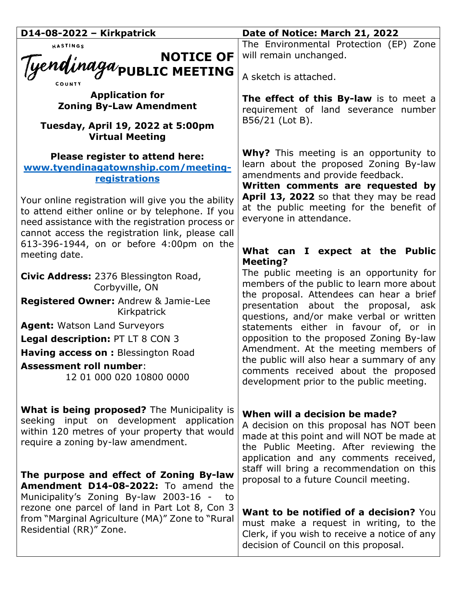| D14-08-2022 - Kirkpatrick                                                                                                                                                                                     | Date of Notice: March 21, 2022                                                                                                                                                                               |
|---------------------------------------------------------------------------------------------------------------------------------------------------------------------------------------------------------------|--------------------------------------------------------------------------------------------------------------------------------------------------------------------------------------------------------------|
| HASTINGS                                                                                                                                                                                                      | The Environmental Protection (EP) Zone                                                                                                                                                                       |
|                                                                                                                                                                                                               | will remain unchanged.                                                                                                                                                                                       |
| NOTICE OF<br>Tyendinaga/public MEETING                                                                                                                                                                        | A sketch is attached.                                                                                                                                                                                        |
| <b>Application for</b><br><b>Zoning By-Law Amendment</b>                                                                                                                                                      | The effect of this By-law is to meet a<br>requirement of land severance number                                                                                                                               |
| Tuesday, April 19, 2022 at 5:00pm<br><b>Virtual Meeting</b>                                                                                                                                                   | B56/21 (Lot B).                                                                                                                                                                                              |
| Please register to attend here:<br>www.tvendinagatownship.com/meeting-<br>registrations                                                                                                                       | <b>Why?</b> This meeting is an opportunity to<br>learn about the proposed Zoning By-law<br>amendments and provide feedback.<br>Written comments are requested by                                             |
| Your online registration will give you the ability<br>to attend either online or by telephone. If you<br>need assistance with the registration process or<br>cannot access the registration link, please call | April 13, 2022 so that they may be read<br>at the public meeting for the benefit of<br>everyone in attendance.                                                                                               |
| 613-396-1944, on or before 4:00pm on the<br>meeting date.                                                                                                                                                     | What can I expect at the Public<br><b>Meeting?</b>                                                                                                                                                           |
| Civic Address: 2376 Blessington Road,<br>Corbyville, ON                                                                                                                                                       | The public meeting is an opportunity for<br>members of the public to learn more about                                                                                                                        |
| Registered Owner: Andrew & Jamie-Lee<br>Kirkpatrick                                                                                                                                                           | the proposal. Attendees can hear a brief<br>presentation about the proposal, ask<br>questions, and/or make verbal or written                                                                                 |
| <b>Agent: Watson Land Surveyors</b>                                                                                                                                                                           | statements either in favour of, or in                                                                                                                                                                        |
| Legal description: PT LT 8 CON 3                                                                                                                                                                              | opposition to the proposed Zoning By-law                                                                                                                                                                     |
| Having access on : Blessington Road                                                                                                                                                                           | Amendment. At the meeting members of                                                                                                                                                                         |
| <b>Assessment roll number:</b><br>12 01 000 020 10800 0000                                                                                                                                                    | the public will also hear a summary of any<br>comments received about the proposed<br>development prior to the public meeting.                                                                               |
| <b>What is being proposed?</b> The Municipality is<br>seeking input on development application<br>within 120 metres of your property that would<br>require a zoning by-law amendment.                         | When will a decision be made?<br>A decision on this proposal has NOT been<br>made at this point and will NOT be made at<br>the Public Meeting. After reviewing the<br>application and any comments received, |
| The purpose and effect of Zoning By-law<br>Amendment D14-08-2022: To amend the                                                                                                                                | staff will bring a recommendation on this<br>proposal to a future Council meeting.                                                                                                                           |
| Municipality's Zoning By-law 2003-16 -<br>to<br>rezone one parcel of land in Part Lot 8, Con 3<br>from "Marginal Agriculture (MA)" Zone to "Rural<br>Residential (RR)" Zone.                                  | Want to be notified of a decision? You<br>must make a request in writing, to the<br>Clerk, if you wish to receive a notice of any<br>decision of Council on this proposal.                                   |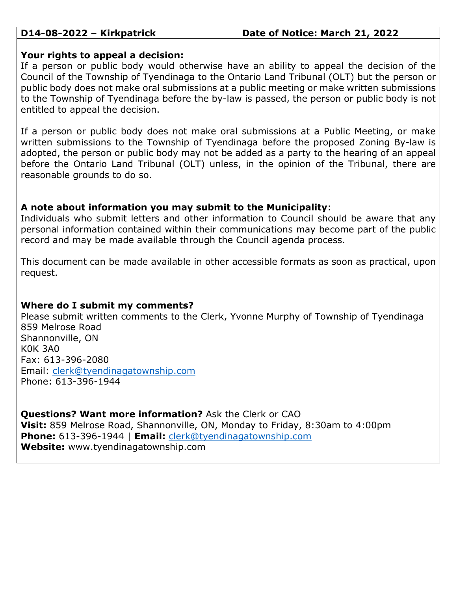# **D14-08-2022 – Kirkpatrick Date of Notice: March 21, 2022**

### **Your rights to appeal a decision:**

If a person or public body would otherwise have an ability to appeal the decision of the Council of the Township of Tyendinaga to the Ontario Land Tribunal (OLT) but the person or public body does not make oral submissions at a public meeting or make written submissions to the Township of Tyendinaga before the by-law is passed, the person or public body is not entitled to appeal the decision.

If a person or public body does not make oral submissions at a Public Meeting, or make written submissions to the Township of Tyendinaga before the proposed Zoning By-law is adopted, the person or public body may not be added as a party to the hearing of an appeal before the Ontario Land Tribunal (OLT) unless, in the opinion of the Tribunal, there are reasonable grounds to do so.

# **A note about information you may submit to the Municipality**:

Individuals who submit letters and other information to Council should be aware that any personal information contained within their communications may become part of the public record and may be made available through the Council agenda process.

This document can be made available in other accessible formats as soon as practical, upon request.

# **Where do I submit my comments?**

Please submit written comments to the Clerk, Yvonne Murphy of Township of Tyendinaga 859 Melrose Road Shannonville, ON K0K 3A0 Fax: 613-396-2080 Email: [clerk@tyendinagatownship.com](mailto:clerk@tyendinagatownship.com) Phone: 613-396-1944

**Questions? Want more information?** Ask the Clerk or CAO **Visit:** 859 Melrose Road, Shannonville, ON, Monday to Friday, 8:30am to 4:00pm **Phone:** 613-396-1944 | **Email:** [clerk@tyendinagatownship.com](mailto:clerk@tyendinagatownship.com) **Website:** www.tyendinagatownship.com